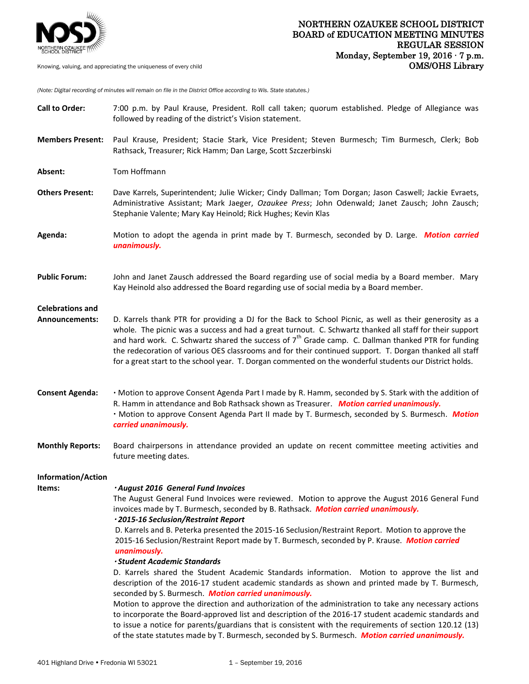

*(Note: Digital recording of minutes will remain on file in the District Office according to Wis. State statutes.)*

| <b>Call to Order:</b>                     | 7:00 p.m. by Paul Krause, President. Roll call taken; quorum established. Pledge of Allegiance was<br>followed by reading of the district's Vision statement.                                                                                                                                                                                                                                                                                                                                                                                      |
|-------------------------------------------|----------------------------------------------------------------------------------------------------------------------------------------------------------------------------------------------------------------------------------------------------------------------------------------------------------------------------------------------------------------------------------------------------------------------------------------------------------------------------------------------------------------------------------------------------|
| <b>Members Present:</b>                   | Paul Krause, President; Stacie Stark, Vice President; Steven Burmesch; Tim Burmesch, Clerk; Bob<br>Rathsack, Treasurer; Rick Hamm; Dan Large, Scott Szczerbinski                                                                                                                                                                                                                                                                                                                                                                                   |
| Absent:                                   | Tom Hoffmann                                                                                                                                                                                                                                                                                                                                                                                                                                                                                                                                       |
| <b>Others Present:</b>                    | Dave Karrels, Superintendent; Julie Wicker; Cindy Dallman; Tom Dorgan; Jason Caswell; Jackie Evraets,<br>Administrative Assistant; Mark Jaeger, Ozaukee Press; John Odenwald; Janet Zausch; John Zausch;<br>Stephanie Valente; Mary Kay Heinold; Rick Hughes; Kevin Klas                                                                                                                                                                                                                                                                           |
| Agenda:                                   | Motion to adopt the agenda in print made by T. Burmesch, seconded by D. Large. Motion carried<br>unanimously.                                                                                                                                                                                                                                                                                                                                                                                                                                      |
| <b>Public Forum:</b>                      | John and Janet Zausch addressed the Board regarding use of social media by a Board member. Mary<br>Kay Heinold also addressed the Board regarding use of social media by a Board member.                                                                                                                                                                                                                                                                                                                                                           |
| <b>Celebrations and</b><br>Announcements: | D. Karrels thank PTR for providing a DJ for the Back to School Picnic, as well as their generosity as a<br>whole. The picnic was a success and had a great turnout. C. Schwartz thanked all staff for their support<br>and hard work. C. Schwartz shared the success of $7th$ Grade camp. C. Dallman thanked PTR for funding<br>the redecoration of various OES classrooms and for their continued support. T. Dorgan thanked all staff<br>for a great start to the school year. T. Dorgan commented on the wonderful students our District holds. |
| <b>Consent Agenda:</b>                    | . Motion to approve Consent Agenda Part I made by R. Hamm, seconded by S. Stark with the addition of<br>R. Hamm in attendance and Bob Rathsack shown as Treasurer. Motion carried unanimously.<br>· Motion to approve Consent Agenda Part II made by T. Burmesch, seconded by S. Burmesch. Motion<br>carried unanimously.                                                                                                                                                                                                                          |
| <b>Monthly Reports:</b>                   | Board chairpersons in attendance provided an update on recent committee meeting activities and<br>future meeting dates.                                                                                                                                                                                                                                                                                                                                                                                                                            |
| <b>Information/Action</b>                 |                                                                                                                                                                                                                                                                                                                                                                                                                                                                                                                                                    |
| items:                                    | · August 2016 General Fund Invoices<br>The August General Fund Invoices were reviewed. Motion to approve the August 2016 General Fund<br>invoices made by T. Burmesch, seconded by B. Rathsack. Motion carried unanimously.<br>· 2015-16 Seclusion/Restraint Report<br>D. Karrels and B. Peterka presented the 2015-16 Seclusion/Restraint Report. Motion to approve the<br>2015-16 Seclusion/Restraint Report made by T. Burmesch, seconded by P. Krause. Motion carried<br>unanimously.<br><b>Student Academic Standards</b>                     |
|                                           | D. Karrels shared the Student Academic Standards information. Motion to approve the list and<br>description of the 2016-17 student academic standards as shown and printed made by T. Burmesch,<br>seconded by S. Burmesch. Motion carried unanimously.                                                                                                                                                                                                                                                                                            |
|                                           | Motion to approve the direction and authorization of the administration to take any necessary actions<br>to incorporate the Board-approved list and description of the 2016-17 student academic standards and<br>to issue a notice for parents/guardians that is consistent with the requirements of section 120.12 (13)<br>of the state statutes made by T. Burmesch, seconded by S. Burmesch. Motion carried unanimously.                                                                                                                        |